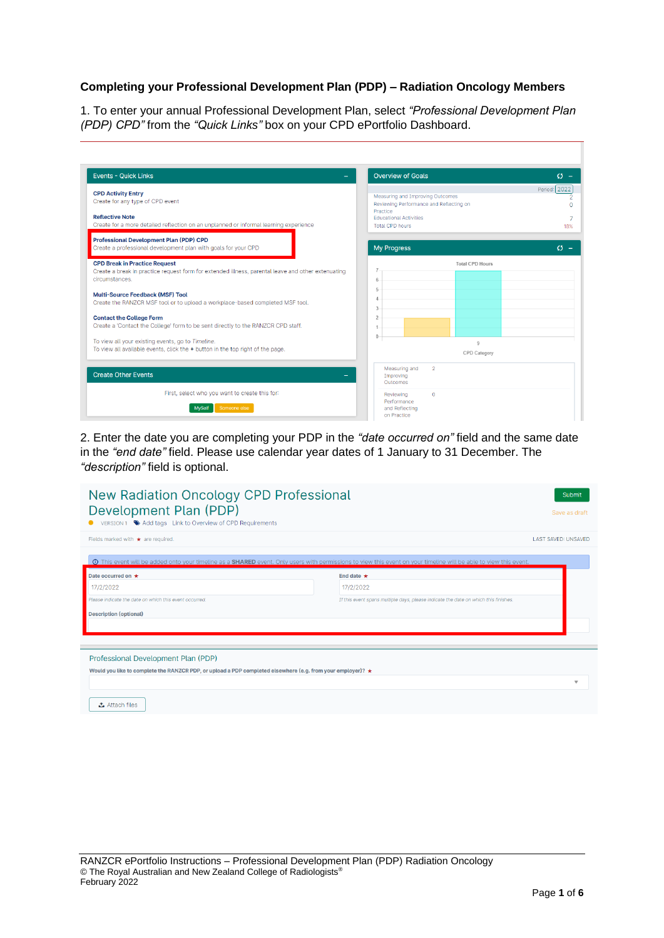## **Completing your Professional Development Plan (PDP) – Radiation Oncology Members**

1. To enter your annual Professional Development Plan, select *"Professional Development Plan (PDP) CPD"* from the *"Quick Links"* box on your CPD ePortfolio Dashboard.

| <b>Events - Quick Links</b>                                                                                                                                                                                                                                                                                                                                                                                                                                                                                                                              | <b>Overview of Goals</b>                                                                                                                           | $G -$        |
|----------------------------------------------------------------------------------------------------------------------------------------------------------------------------------------------------------------------------------------------------------------------------------------------------------------------------------------------------------------------------------------------------------------------------------------------------------------------------------------------------------------------------------------------------------|----------------------------------------------------------------------------------------------------------------------------------------------------|--------------|
| <b>CPD Activity Entry</b><br>Create for any type of CPD event<br><b>Reflective Note</b><br>Create for a more detailed reflection on an unplanned or informal learning experience                                                                                                                                                                                                                                                                                                                                                                         | Measuring and Improving Outcomes<br>Reviewing Performance and Reflecting on<br>Practice<br><b>Educational Activities</b><br><b>Total CPD hours</b> | Period: 2022 |
| <b>Professional Development Plan (PDP) CPD</b><br>Create a professional development plan with goals for your CPD                                                                                                                                                                                                                                                                                                                                                                                                                                         | <b>My Progress</b>                                                                                                                                 | $\Omega$ -   |
| <b>CPD Break in Practice Request</b><br>Create a break in practice request form for extended illness, parental leave and other extenuating<br>circumstances.<br><b>Multi-Source Feedback (MSF) Tool</b><br>Create the RANZCR MSF tool or to upload a workplace-based completed MSF tool.<br><b>Contact the College Form</b><br>Create a 'Contact the College' form to be sent directly to the RANZCR CPD staff.<br>To view all your existing events, go to Timeline.<br>To view all available events, click the $+$ button in the top right of the page. | <b>Total CPD Hours</b><br>6<br>5<br>$\Lambda$<br>3<br>$\overline{\phantom{a}}$<br>$\theta$<br>9<br>CPD Category                                    |              |
| <b>Create Other Events</b><br>First, select who you want to create this for:<br>Someone else<br><b>MySelf</b>                                                                                                                                                                                                                                                                                                                                                                                                                                            | $\overline{2}$<br>Measuring and<br>Improving<br>Outcomes<br>Reviewing<br>$\Omega$<br>Performance<br>and Reflecting<br>on Practice                  |              |

2. Enter the date you are completing your PDP in the *"date occurred on"* field and the same date in the *"end date"* field. Please use calendar year dates of 1 January to 31 December. The *"description"* field is optional.

| <b>New Radiation Oncology CPD Professional</b><br>Development Plan (PDP)<br>VERSION 1 Add tags Link to Overview of CPD Requirements                                      | Submit<br>Save as draft                                                                                              |
|--------------------------------------------------------------------------------------------------------------------------------------------------------------------------|----------------------------------------------------------------------------------------------------------------------|
| Fields marked with $\star$ are required.                                                                                                                                 | <b>LAST SAVED: UNSAVED</b>                                                                                           |
| O This event will be added onto your timeline as a SHARED event. Only users with permissions to view this event on your timeline will be able to view this event.        |                                                                                                                      |
| Date occurred on ★<br>17/2/2022<br>Please indicate the date on which this event occurred.<br><b>Description (optional)</b>                                               | End date $\star$<br>17/2/2022<br>If this event spans multiple days, please indicate the date on which this finishes. |
|                                                                                                                                                                          |                                                                                                                      |
| Professional Development Plan (PDP)<br>Would you like to complete the RANZCR PDP, or upload a PDP completed elsewhere (e.g. from your employer)? $\star$<br>Attach files | $\overline{\phantom{a}}$                                                                                             |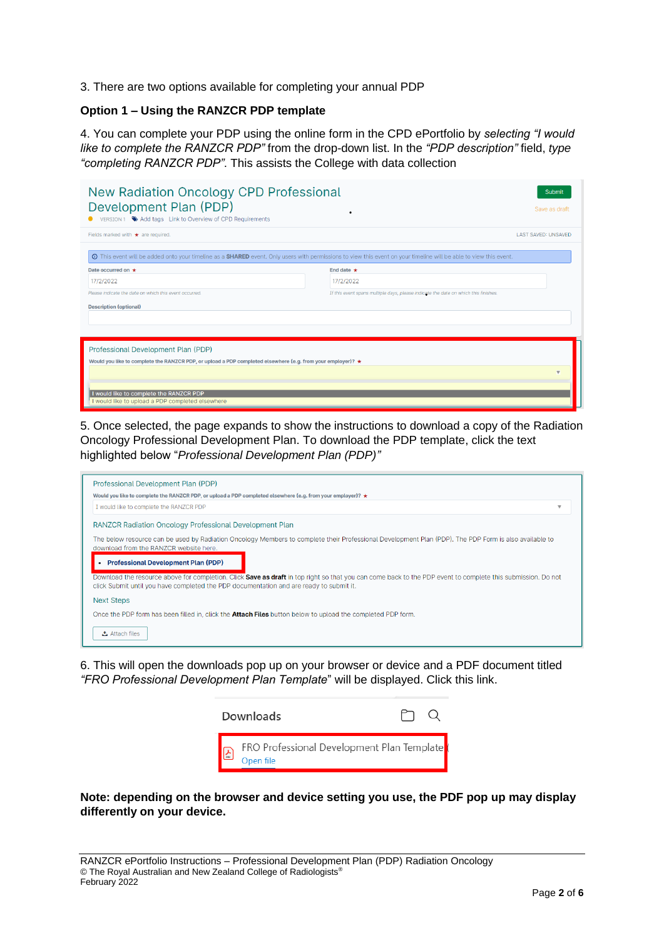3. There are two options available for completing your annual PDP

## **Option 1 – Using the RANZCR PDP template**

4. You can complete your PDP using the online form in the CPD ePortfolio by *selecting "I would like to complete the RANZCR PDP"* from the drop-down list. In the *"PDP description"* field, *type "completing RANZCR PDP"*. This assists the College with data collection

| New Radiation Oncology CPD Professional<br>Development Plan (PDP)<br>VERSION 1 Add tags Link to Overview of CPD Requirements                                                                                                                                                        |                                                                                     | Submit<br>Save as draft    |  |
|-------------------------------------------------------------------------------------------------------------------------------------------------------------------------------------------------------------------------------------------------------------------------------------|-------------------------------------------------------------------------------------|----------------------------|--|
| Fields marked with $\star$ are required.                                                                                                                                                                                                                                            |                                                                                     | <b>LAST SAVED: UNSAVED</b> |  |
| <b>1</b> This event will be added onto your timeline as a <b>SHARED</b> event. Only users with permissions to view this event on your timeline will be able to view this event.                                                                                                     |                                                                                     |                            |  |
| Date occurred on *                                                                                                                                                                                                                                                                  | End date $\star$                                                                    |                            |  |
| 17/2/2022                                                                                                                                                                                                                                                                           | 17/2/2022                                                                           |                            |  |
| Please indicate the date on which this event occurred.                                                                                                                                                                                                                              | If this event spans multiple days, please indicate the date on which this finishes. |                            |  |
| <b>Description (optional)</b>                                                                                                                                                                                                                                                       |                                                                                     |                            |  |
| Professional Development Plan (PDP)<br>Would you like to complete the RANZCR PDP, or upload a PDP completed elsewhere (e.g. from your employer)? $\star$<br>$\overline{\phantom{a}}$<br>I would like to complete the RANZCR PDP<br>I would like to upload a PDP completed elsewhere |                                                                                     |                            |  |

5. Once selected, the page expands to show the instructions to download a copy of the Radiation Oncology Professional Development Plan. To download the PDP template, click the text highlighted below "*Professional Development Plan (PDP)"*



6. This will open the downloads pop up on your browser or device and a PDF document titled *"FRO Professional Development Plan Template*" will be displayed. Click this link.



**Note: depending on the browser and device setting you use, the PDF pop up may display differently on your device.**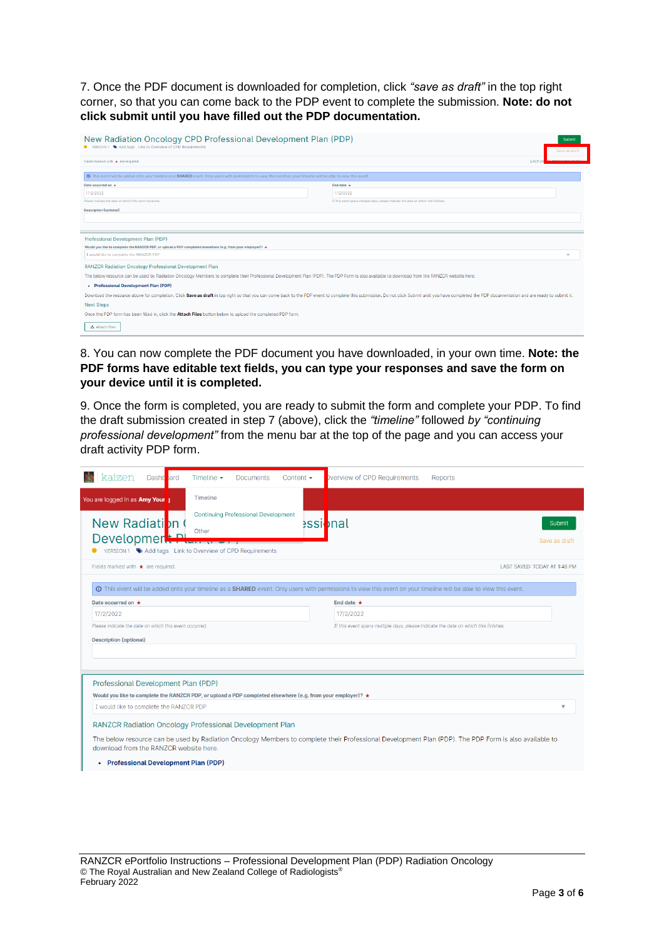7. Once the PDF document is downloaded for completion, click *"save as draft"* in the top right corner, so that you can come back to the PDP event to complete the submission. **Note: do not click submit until you have filled out the PDP documentation.**

| New Radiation Oncology CPD Professional Development Plan (PDP)                                                                                                                                                                 |                                                                                     | <b>Submit</b> |  |
|--------------------------------------------------------------------------------------------------------------------------------------------------------------------------------------------------------------------------------|-------------------------------------------------------------------------------------|---------------|--|
| ● VERSION 1 → Add tags Link to Overview of CPD Requirements                                                                                                                                                                    |                                                                                     | Save as draft |  |
| Fields marked with $\star$ are required.                                                                                                                                                                                       |                                                                                     | LAST:         |  |
| This event will be added onto your timeline as a SHARED event. Only users with permissions to view this event on your timeline will be able to view this event.                                                                |                                                                                     |               |  |
| Date occurred on *                                                                                                                                                                                                             | End date $\star$                                                                    |               |  |
| 17/2/2022                                                                                                                                                                                                                      | 17/2/2022                                                                           |               |  |
| Please indicate the date on which this event occurred.                                                                                                                                                                         | If this event spans multiple days, please indicate the date on which this finishes. |               |  |
| <b>Description (optional)</b>                                                                                                                                                                                                  |                                                                                     |               |  |
|                                                                                                                                                                                                                                |                                                                                     |               |  |
|                                                                                                                                                                                                                                |                                                                                     |               |  |
| Professional Development Plan (PDP)                                                                                                                                                                                            |                                                                                     |               |  |
| Would you like to complete the RANZCR PDP, or upload a PDP completed elsewhere (e.g. from your employer)? *                                                                                                                    |                                                                                     |               |  |
| I would like to complete the RANZCR PDP                                                                                                                                                                                        |                                                                                     |               |  |
| RANZCR Radiation Oncology Professional Development Plan                                                                                                                                                                        |                                                                                     |               |  |
| The below resource can be used by Radiation Oncology Members to complete their Professional Development Plan (PDP). The PDP Form is also available to download from the RANZCR website here.                                   |                                                                                     |               |  |
| • Professional Development Plan (PDP)                                                                                                                                                                                          |                                                                                     |               |  |
| Download the resource above for completion, Click Save as draft in top right so that you can come back to the PDP event to complete this submission. Do not click Submit until you have completed the PDP documentation and ar |                                                                                     |               |  |
| <b>Next Steps</b>                                                                                                                                                                                                              |                                                                                     |               |  |
| Once the PDP form has been filled in, click the Attach Files button below to upload the completed PDP form.                                                                                                                    |                                                                                     |               |  |
| <b>こ</b> Attach files                                                                                                                                                                                                          |                                                                                     |               |  |

8. You can now complete the PDF document you have downloaded, in your own time. **Note: the PDF forms have editable text fields, you can type your responses and save the form on your device until it is completed.**

9. Once the form is completed, you are ready to submit the form and complete your PDP. To find the draft submission created in step 7 (above), click the *"timeline"* followed *by "continuing professional development"* from the menu bar at the top of the page and you can access your draft activity PDP form.

|                                                        | Timeline $\sim$<br><b>Documents</b><br>Content $\sim$                                                             | <b>Overview of CPD Requirements</b><br>Reports                                                                                                                  |                                |
|--------------------------------------------------------|-------------------------------------------------------------------------------------------------------------------|-----------------------------------------------------------------------------------------------------------------------------------------------------------------|--------------------------------|
| You are logged in as Amy Your 1                        | Timeline                                                                                                          |                                                                                                                                                                 |                                |
| New Radiation<br>Developmer <sup>+</sup> P             | <b>Continuing Professional Development</b><br>Other                                                               | essional                                                                                                                                                        | <b>Submit</b><br>Save as draft |
|                                                        | VERSION 1 Add tags Link to Overview of CPD Requirements                                                           |                                                                                                                                                                 |                                |
| Fields marked with $\star$ are required.               |                                                                                                                   |                                                                                                                                                                 | LAST SAVED: TODAY AT 1:48 PM   |
|                                                        |                                                                                                                   | This event will be added onto your timeline as a SHARED event. Only users with permissions to view this event on your timeline will be able to view this event. |                                |
| Date occurred on $\star$                               |                                                                                                                   | End date $\star$                                                                                                                                                |                                |
| 17/2/2022                                              |                                                                                                                   | 17/2/2022                                                                                                                                                       |                                |
| Please indicate the date on which this event occurred. |                                                                                                                   | If this event spans multiple days, please indicate the date on which this finishes.                                                                             |                                |
| <b>Description (optional)</b>                          |                                                                                                                   |                                                                                                                                                                 |                                |
|                                                        |                                                                                                                   |                                                                                                                                                                 |                                |
| Professional Development Plan (PDP)                    |                                                                                                                   |                                                                                                                                                                 |                                |
|                                                        | Would you like to complete the RANZCR PDP, or upload a PDP completed elsewhere (e.g. from your employer)? $\star$ |                                                                                                                                                                 |                                |
| I would like to complete the RANZCR PDP                |                                                                                                                   |                                                                                                                                                                 | $\overline{\mathbf{v}}$        |
|                                                        | <b>RANZCR Radiation Oncology Professional Development Plan</b>                                                    |                                                                                                                                                                 |                                |
| download from the RANZCR website here.                 |                                                                                                                   | The below resource can be used by Radiation Oncology Members to complete their Professional Development Plan (PDP). The PDP Form is also available to           |                                |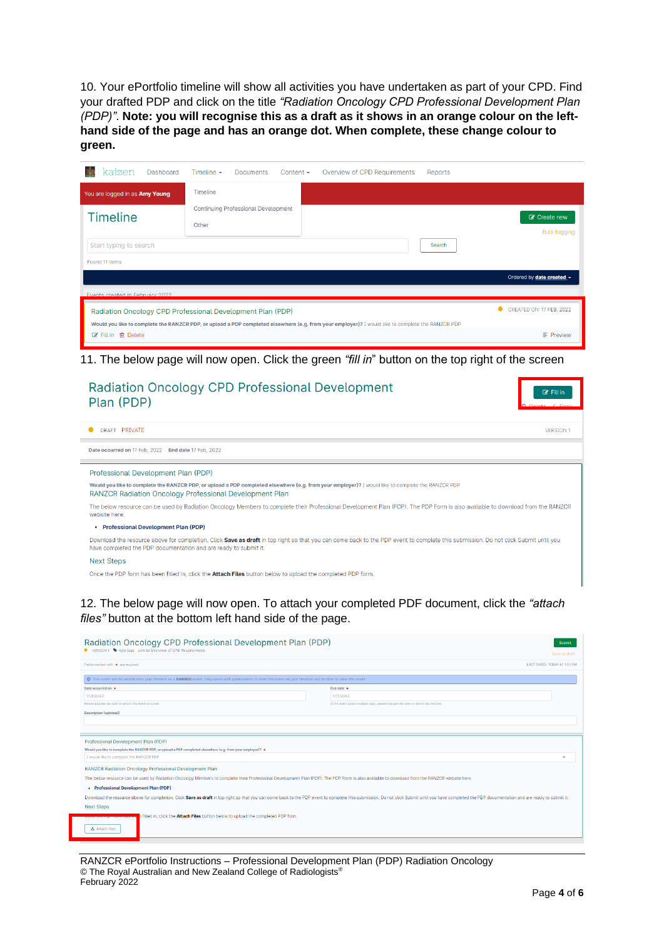10. Your ePortfolio timeline will show all activities you have undertaken as part of your CPD. Find your drafted PDP and click on the title *"Radiation Oncology CPD Professional Development Plan (PDP)"*. **Note: you will recognise this as a draft as it shows in an orange colour on the lefthand side of the page and has an orange dot. When complete, these change colour to green.**

| kaizen<br>Dashboard                      | Timeline $\sim$<br><b>Documents</b><br>Content $\sim$      | Overview of CPD Requirements                                                                                                                      | Reports                               |
|------------------------------------------|------------------------------------------------------------|---------------------------------------------------------------------------------------------------------------------------------------------------|---------------------------------------|
| You are logged in as Amy Young           | Timeline                                                   |                                                                                                                                                   |                                       |
| <b>Timeline</b>                          | Continuing Professional Development<br>Other               |                                                                                                                                                   | C Create new<br><b>Bulk tagging</b>   |
| Start typing to search<br>Found 11 items |                                                            |                                                                                                                                                   | Search                                |
| Events created in February 2022          |                                                            |                                                                                                                                                   | Ordered by <b>date created</b> -      |
|                                          | Radiation Oncology CPD Professional Development Plan (PDP) | Would you like to complete the RANZCR PDP, or upload a PDP completed elsewhere (e.g. from your employer)? I would like to complete the RANZCR PDP | $\bullet$<br>CREATED ON: 17 FEB, 2022 |
| C Fill in 自 Delete                       |                                                            |                                                                                                                                                   | $\equiv$ Preview                      |

11. The below page will now open. Click the green *"fill in*" button on the top right of the screen

| Radiation Oncology CPD Professional Development<br>Plan (PDP)                                                                                                                                                                                          | <b>C</b> Fill in |
|--------------------------------------------------------------------------------------------------------------------------------------------------------------------------------------------------------------------------------------------------------|------------------|
|                                                                                                                                                                                                                                                        |                  |
| <b>DRAFT PRIVATE</b>                                                                                                                                                                                                                                   | <b>VERSION</b>   |
| Date occurred on 17 Feb. 2022 End date 17 Feb. 2022                                                                                                                                                                                                    |                  |
| Professional Development Plan (PDP)                                                                                                                                                                                                                    |                  |
| Would you like to complete the RANZCR PDP, or upload a PDP completed elsewhere (e.g. from your employer)? I would like to complete the RANZCR PDP<br><b>RANZCR Radiation Oncology Professional Development Plan</b>                                    |                  |
| The below resource can be used by Radiation Oncology Members to complete their Professional Development Plan (PDP). The PDP Form is also available to download from the RANZCR<br>website here.                                                        |                  |
| <b>Professional Development Plan (PDP)</b>                                                                                                                                                                                                             |                  |
| Download the resource above for completion. Click Save as draft in top right so that you can come back to the PDP event to complete this submission. Do not click Submit until you<br>have completed the PDP documentation and are ready to submit it. |                  |
| <b>Next Steps</b>                                                                                                                                                                                                                                      |                  |
| Once the PDP form has been filled in, click the Attach Files button below to upload the completed PDP form.                                                                                                                                            |                  |

12. The below page will now open. To attach your completed PDF document, click the *"attach files"* button at the bottom left hand side of the page.

| Radiation Oncology CPD Professional Development Plan (PDP)                                                                                                                                                                     |                                       |                                                                                     | Submit                       |  |
|--------------------------------------------------------------------------------------------------------------------------------------------------------------------------------------------------------------------------------|---------------------------------------|-------------------------------------------------------------------------------------|------------------------------|--|
| ● VERSION 1 → Add tags Link to Overview of CPD Requirements                                                                                                                                                                    |                                       |                                                                                     | Save as draft                |  |
| Fields marked with $\star$ are required.                                                                                                                                                                                       |                                       |                                                                                     | LAST SAVED: TODAY AT 1:50 PM |  |
| This event will be added onto your timeline as a SHARED event. Only users with permissions to view this event on your timeline will be able to view this event.                                                                |                                       |                                                                                     |                              |  |
| Date occurred on *                                                                                                                                                                                                             |                                       | End date $\star$                                                                    |                              |  |
| 17/2/2022                                                                                                                                                                                                                      |                                       | 17/2/2022                                                                           |                              |  |
| Please indicate the date on which this event occurred.                                                                                                                                                                         |                                       | If this event spans multiple days, please indicate the date on which this finishes. |                              |  |
| <b>Description (optional)</b>                                                                                                                                                                                                  |                                       |                                                                                     |                              |  |
| Professional Development Plan (PDP)<br>Would you like to complete the RANZCR PDP, or upload a PDP completed elsewhere (e.g. from your employer)? $\star$<br>I would like to complete the RANZCR PDP                            |                                       |                                                                                     | $\rightarrow$                |  |
| RANZCR Radiation Oncology Professional Development Plan                                                                                                                                                                        |                                       |                                                                                     |                              |  |
| The below resource can be used by Radiation Oncology Members to complete their Professional Development Plan (PDP). The PDP Form is also available to download from the RANZCR website here.                                   |                                       |                                                                                     |                              |  |
|                                                                                                                                                                                                                                | • Professional Development Plan (PDP) |                                                                                     |                              |  |
|                                                                                                                                                                                                                                |                                       |                                                                                     |                              |  |
| Download the resource above for completion, Click Save as draft in top right so that you can come back to the PDP event to complete this submission. Do not click Submit until you have completed the PDP documentation and ar |                                       |                                                                                     |                              |  |
| <b>Next Steps</b>                                                                                                                                                                                                              |                                       |                                                                                     |                              |  |

RANZCR ePortfolio Instructions – Professional Development Plan (PDP) Radiation Oncology © The Royal Australian and New Zealand College of Radiologists® February 2022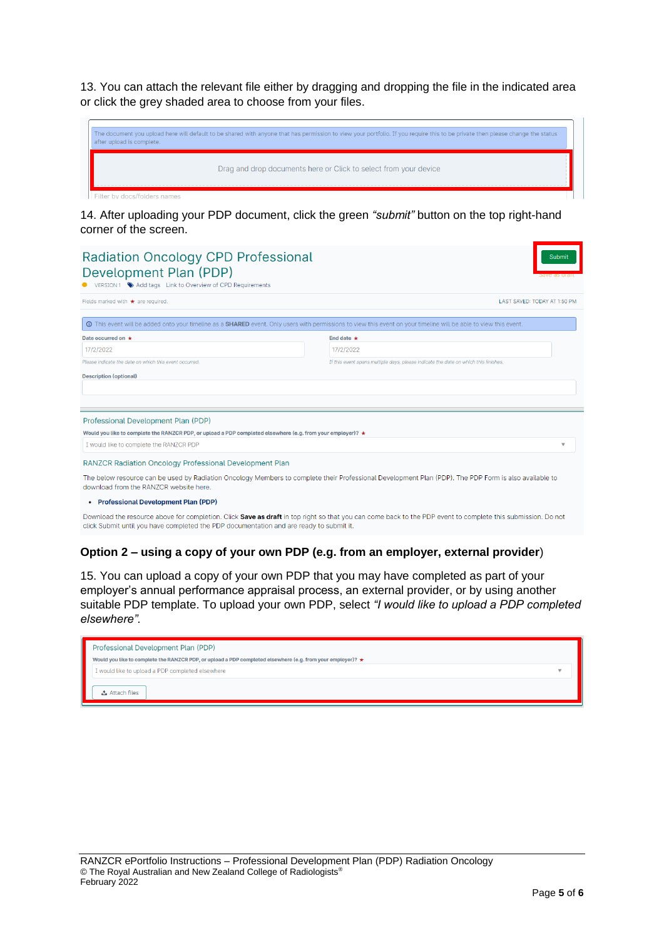13. You can attach the relevant file either by dragging and dropping the file in the indicated area or click the grey shaded area to choose from your files.

| The document you upload here will default to be shared with anyone that has permission to view your portfolio. If you require this to be private then please change the status<br>after upload is complete. |  |
|-------------------------------------------------------------------------------------------------------------------------------------------------------------------------------------------------------------|--|
| Drag and drop documents here or Click to select from your device                                                                                                                                            |  |
|                                                                                                                                                                                                             |  |
| Filter by docs/folders names                                                                                                                                                                                |  |

14. After uploading your PDP document, click the green *"submit"* button on the top right-hand corner of the screen.

| <b>Radiation Oncology CPD Professional</b><br>Development Plan (PDP)<br>VERSION 1 Add tags Link to Overview of CPD Requirements                                                 | Submit<br>Save as urar                                                                                                                                      |                         |
|---------------------------------------------------------------------------------------------------------------------------------------------------------------------------------|-------------------------------------------------------------------------------------------------------------------------------------------------------------|-------------------------|
| Fields marked with $\star$ are required.                                                                                                                                        | LAST SAVED: TODAY AT 1:50 PM                                                                                                                                |                         |
| <b>O</b> This event will be added onto your timeline as a <b>SHARED</b> event. Only users with permissions to view this event on your timeline will be able to view this event. |                                                                                                                                                             |                         |
| Date occurred on $\star$                                                                                                                                                        | End date $\star$                                                                                                                                            |                         |
| 17/2/2022                                                                                                                                                                       | 17/2/2022                                                                                                                                                   |                         |
| Please indicate the date on which this event occurred.                                                                                                                          | If this event spans multiple days, please indicate the date on which this finishes.                                                                         |                         |
| <b>Description (optional)</b>                                                                                                                                                   |                                                                                                                                                             |                         |
| Professional Development Plan (PDP)                                                                                                                                             |                                                                                                                                                             |                         |
| Would you like to complete the RANZCR PDP, or upload a PDP completed elsewhere (e.g. from your employer)? $\star$                                                               |                                                                                                                                                             |                         |
| I would like to complete the RANZCR PDP                                                                                                                                         |                                                                                                                                                             | $\overline{\mathbf{v}}$ |
| <b>RANZCR Radiation Oncology Professional Development Plan</b><br>download from the RANZCR website here.                                                                        | The below resource can be used by Radiation Oncology Members to complete their Professional Development Plan (PDP). The PDP Form is also available to       |                         |
| • Professional Development Plan (PDP)                                                                                                                                           |                                                                                                                                                             |                         |
| click Submit until you have completed the PDP documentation and are ready to submit it.                                                                                         | Download the resource above for completion. Click Save as draft in top right so that you can come back to the PDP event to complete this submission. Do not |                         |

## **Option 2 – using a copy of your own PDP (e.g. from an employer, external provider**)

15. You can upload a copy of your own PDP that you may have completed as part of your employer's annual performance appraisal process, an external provider, or by using another suitable PDP template. To upload your own PDP, select *"I would like to upload a PDP completed elsewhere".*